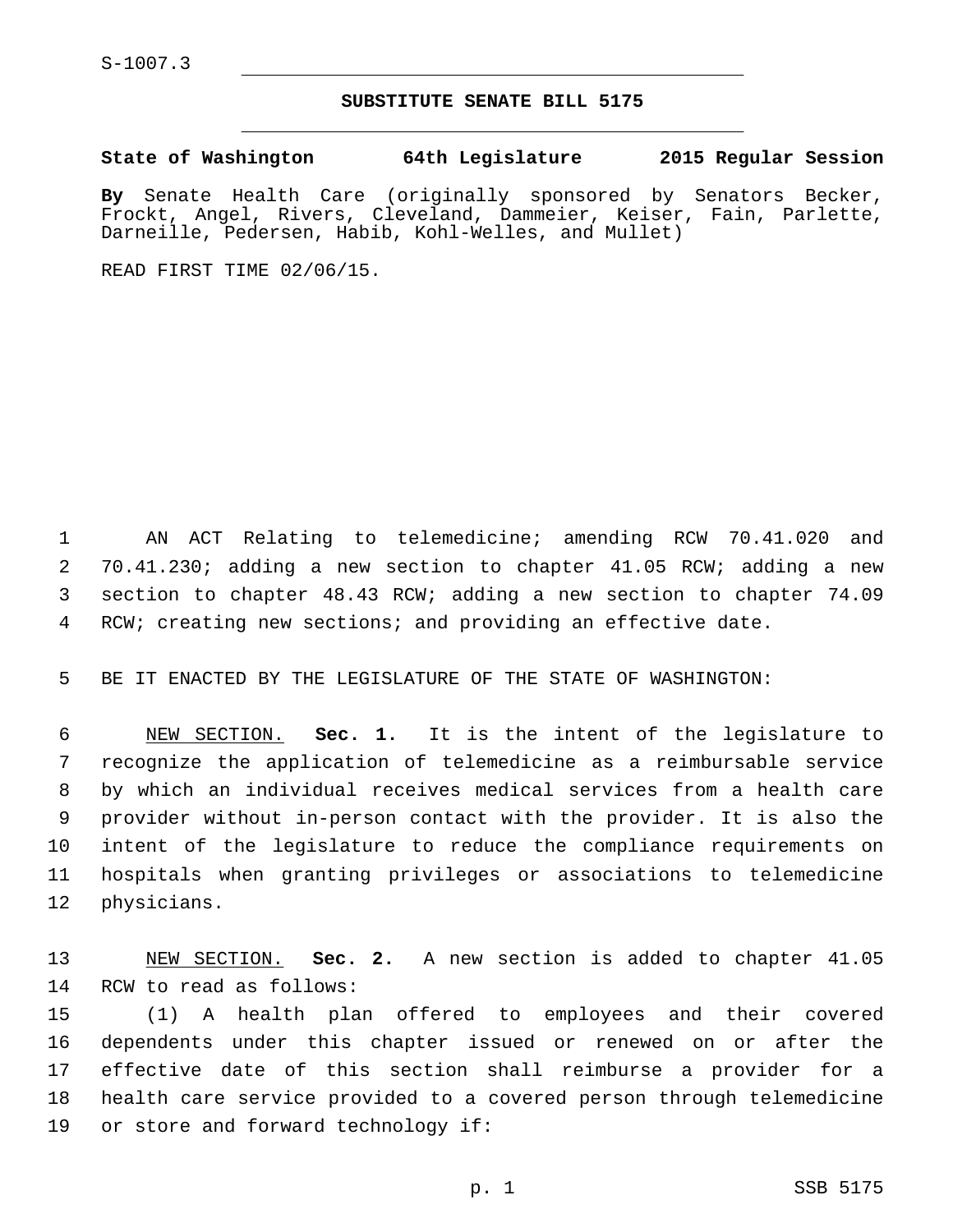## **SUBSTITUTE SENATE BILL 5175**

**State of Washington 64th Legislature 2015 Regular Session**

**By** Senate Health Care (originally sponsored by Senators Becker, Frockt, Angel, Rivers, Cleveland, Dammeier, Keiser, Fain, Parlette, Darneille, Pedersen, Habib, Kohl-Welles, and Mullet)

READ FIRST TIME 02/06/15.

 AN ACT Relating to telemedicine; amending RCW 70.41.020 and 70.41.230; adding a new section to chapter 41.05 RCW; adding a new section to chapter 48.43 RCW; adding a new section to chapter 74.09 RCW; creating new sections; and providing an effective date.

BE IT ENACTED BY THE LEGISLATURE OF THE STATE OF WASHINGTON:

 NEW SECTION. **Sec. 1.** It is the intent of the legislature to recognize the application of telemedicine as a reimbursable service by which an individual receives medical services from a health care provider without in-person contact with the provider. It is also the intent of the legislature to reduce the compliance requirements on hospitals when granting privileges or associations to telemedicine physicians.

 NEW SECTION. **Sec. 2.** A new section is added to chapter 41.05 14 RCW to read as follows:

 (1) A health plan offered to employees and their covered dependents under this chapter issued or renewed on or after the effective date of this section shall reimburse a provider for a health care service provided to a covered person through telemedicine 19 or store and forward technology if: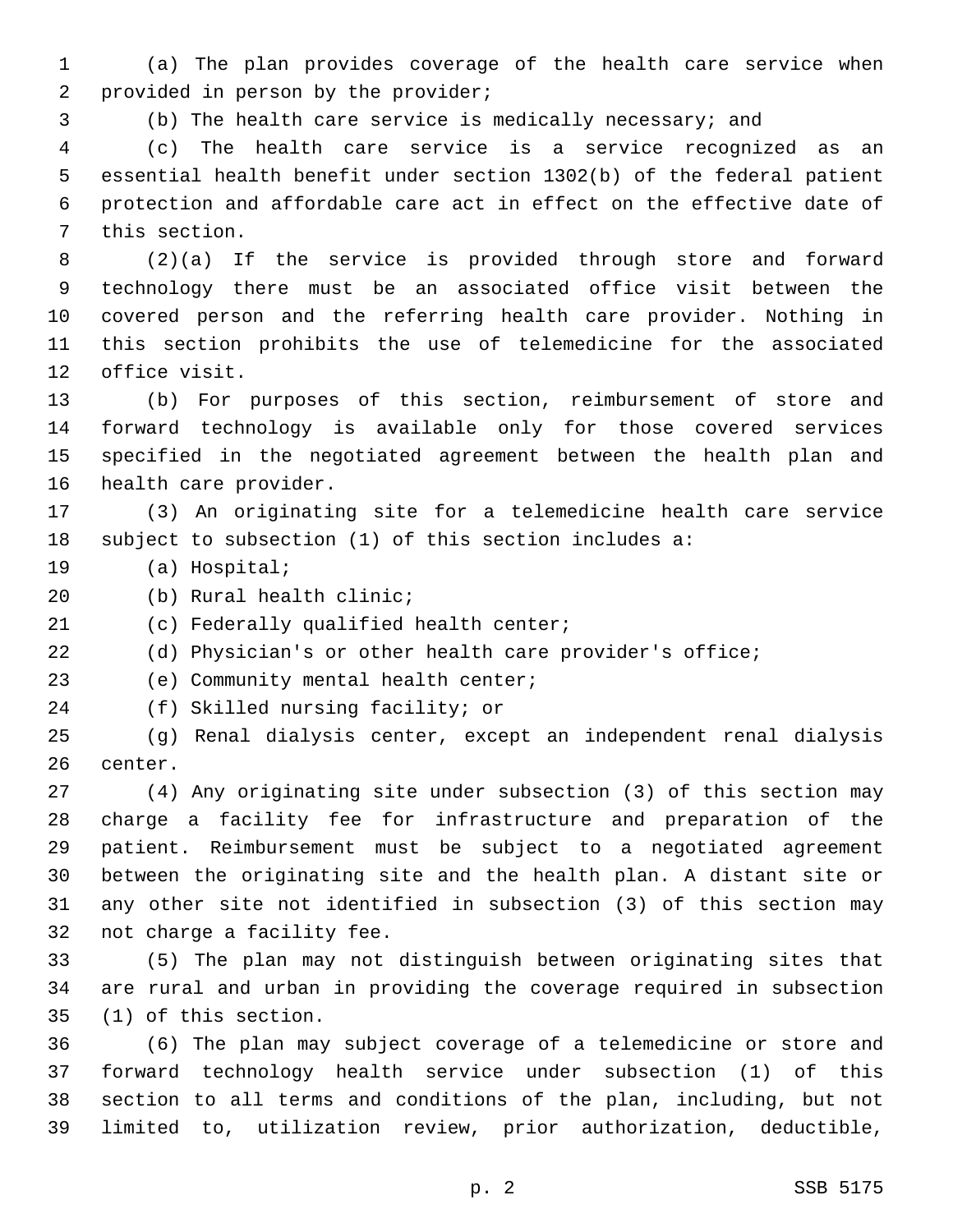(a) The plan provides coverage of the health care service when 2 provided in person by the provider;

(b) The health care service is medically necessary; and

 (c) The health care service is a service recognized as an essential health benefit under section 1302(b) of the federal patient protection and affordable care act in effect on the effective date of 7 this section.

 (2)(a) If the service is provided through store and forward technology there must be an associated office visit between the covered person and the referring health care provider. Nothing in this section prohibits the use of telemedicine for the associated 12 office visit.

 (b) For purposes of this section, reimbursement of store and forward technology is available only for those covered services specified in the negotiated agreement between the health plan and 16 health care provider.

 (3) An originating site for a telemedicine health care service subject to subsection (1) of this section includes a:

19 (a) Hospital;

20 (b) Rural health clinic;

21 (c) Federally qualified health center;

(d) Physician's or other health care provider's office;

23 (e) Community mental health center;

24 (f) Skilled nursing facility; or

 (g) Renal dialysis center, except an independent renal dialysis 26 center.

 (4) Any originating site under subsection (3) of this section may charge a facility fee for infrastructure and preparation of the patient. Reimbursement must be subject to a negotiated agreement between the originating site and the health plan. A distant site or any other site not identified in subsection (3) of this section may 32 not charge a facility fee.

 (5) The plan may not distinguish between originating sites that are rural and urban in providing the coverage required in subsection (1) of this section.35

 (6) The plan may subject coverage of a telemedicine or store and forward technology health service under subsection (1) of this section to all terms and conditions of the plan, including, but not limited to, utilization review, prior authorization, deductible,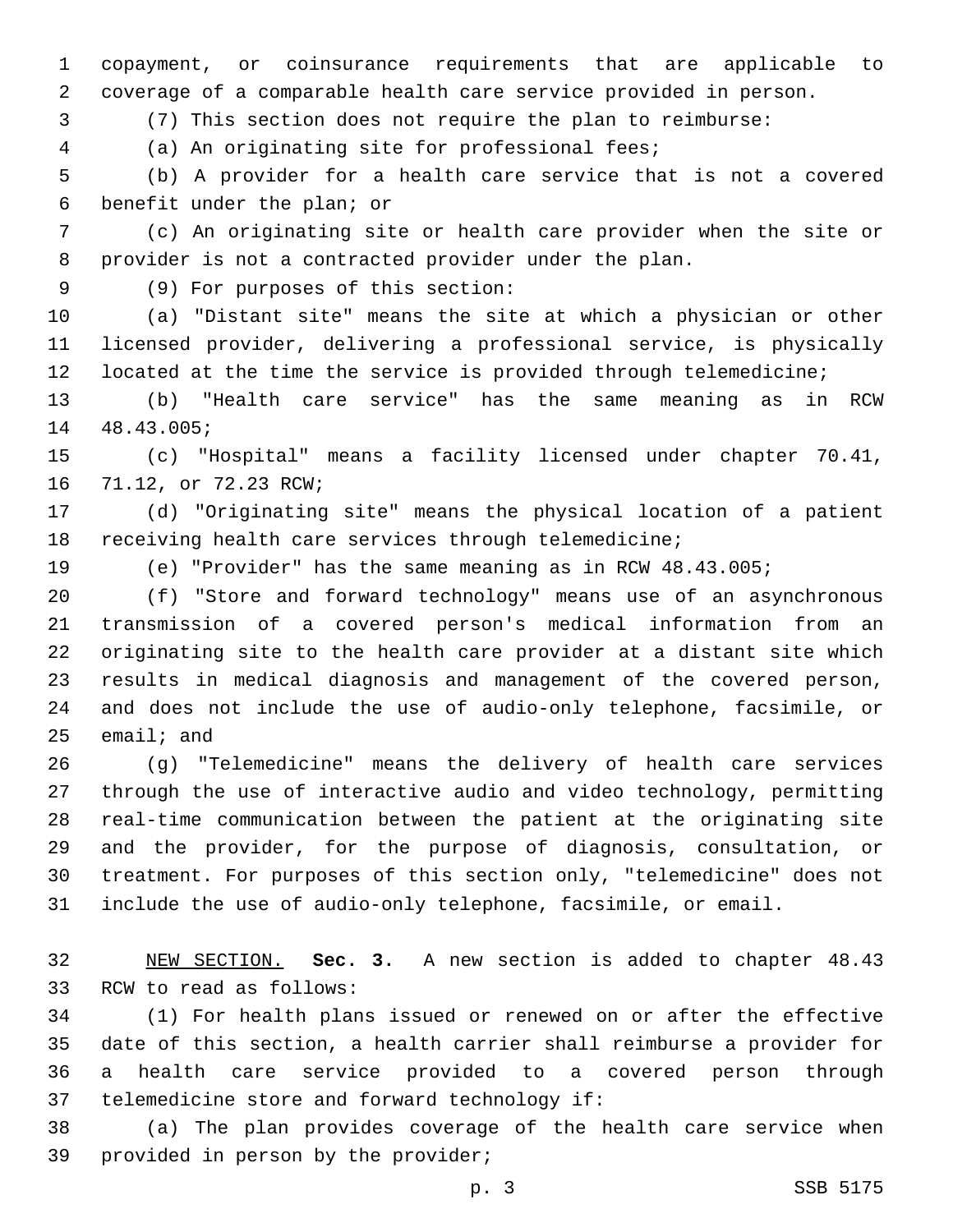copayment, or coinsurance requirements that are applicable to coverage of a comparable health care service provided in person.

(7) This section does not require the plan to reimburse:

(a) An originating site for professional fees;4

 (b) A provider for a health care service that is not a covered 6 benefit under the plan; or

 (c) An originating site or health care provider when the site or provider is not a contracted provider under the plan.

(9) For purposes of this section:9

 (a) "Distant site" means the site at which a physician or other licensed provider, delivering a professional service, is physically 12 located at the time the service is provided through telemedicine;

 (b) "Health care service" has the same meaning as in RCW 14 48.43.005;

 (c) "Hospital" means a facility licensed under chapter 70.41, 16 71.12, or 72.23 RCW;

 (d) "Originating site" means the physical location of a patient receiving health care services through telemedicine;

(e) "Provider" has the same meaning as in RCW 48.43.005;

 (f) "Store and forward technology" means use of an asynchronous transmission of a covered person's medical information from an originating site to the health care provider at a distant site which results in medical diagnosis and management of the covered person, and does not include the use of audio-only telephone, facsimile, or email; and

 (g) "Telemedicine" means the delivery of health care services through the use of interactive audio and video technology, permitting real-time communication between the patient at the originating site and the provider, for the purpose of diagnosis, consultation, or treatment. For purposes of this section only, "telemedicine" does not include the use of audio-only telephone, facsimile, or email.

 NEW SECTION. **Sec. 3.** A new section is added to chapter 48.43 33 RCW to read as follows:

 (1) For health plans issued or renewed on or after the effective date of this section, a health carrier shall reimburse a provider for a health care service provided to a covered person through 37 telemedicine store and forward technology if:

 (a) The plan provides coverage of the health care service when 39 provided in person by the provider;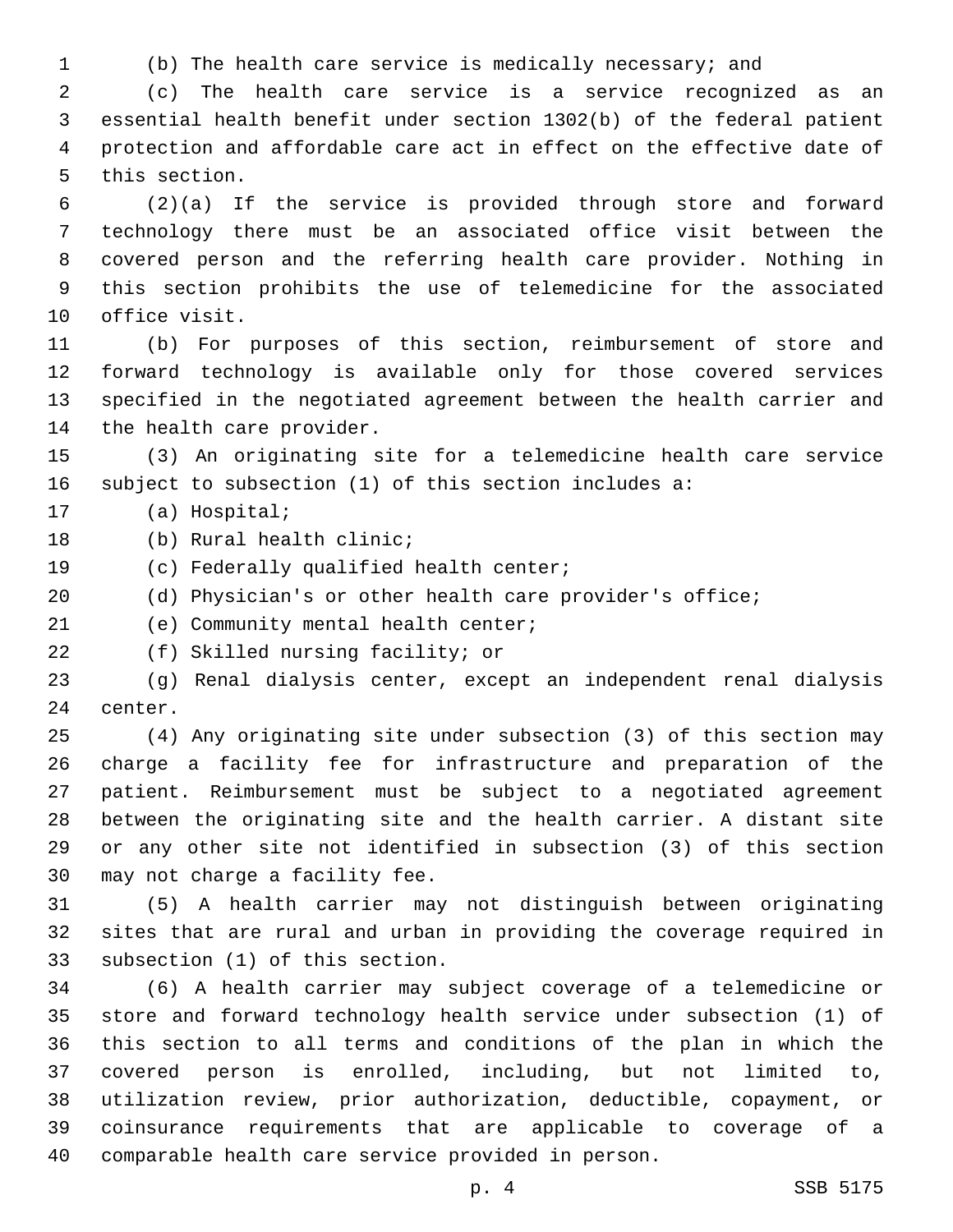(b) The health care service is medically necessary; and

 (c) The health care service is a service recognized as an essential health benefit under section 1302(b) of the federal patient protection and affordable care act in effect on the effective date of 5 this section.

 (2)(a) If the service is provided through store and forward technology there must be an associated office visit between the covered person and the referring health care provider. Nothing in this section prohibits the use of telemedicine for the associated 10 office visit.

 (b) For purposes of this section, reimbursement of store and forward technology is available only for those covered services specified in the negotiated agreement between the health carrier and 14 the health care provider.

 (3) An originating site for a telemedicine health care service subject to subsection (1) of this section includes a:

17 (a) Hospital;

18 (b) Rural health clinic;

19 (c) Federally qualified health center;

(d) Physician's or other health care provider's office;

21 (e) Community mental health center;

22 (f) Skilled nursing facility; or

 (g) Renal dialysis center, except an independent renal dialysis 24 center.

 (4) Any originating site under subsection (3) of this section may charge a facility fee for infrastructure and preparation of the patient. Reimbursement must be subject to a negotiated agreement between the originating site and the health carrier. A distant site or any other site not identified in subsection (3) of this section 30 may not charge a facility fee.

 (5) A health carrier may not distinguish between originating sites that are rural and urban in providing the coverage required in 33 subsection (1) of this section.

 (6) A health carrier may subject coverage of a telemedicine or store and forward technology health service under subsection (1) of this section to all terms and conditions of the plan in which the covered person is enrolled, including, but not limited to, utilization review, prior authorization, deductible, copayment, or coinsurance requirements that are applicable to coverage of a comparable health care service provided in person.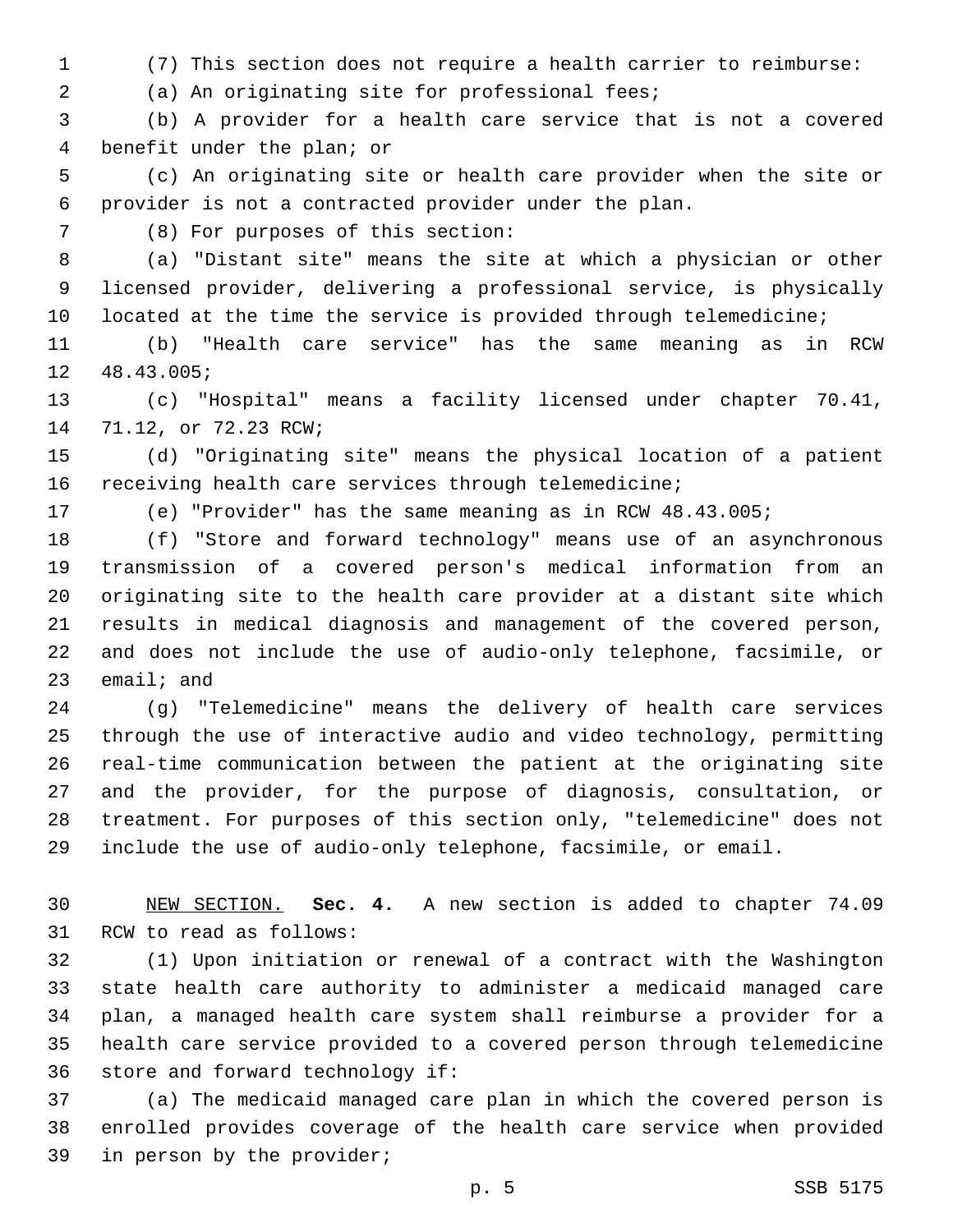(7) This section does not require a health carrier to reimburse:

(a) An originating site for professional fees;2

 (b) A provider for a health care service that is not a covered 4 benefit under the plan; or

 (c) An originating site or health care provider when the site or provider is not a contracted provider under the plan.

(8) For purposes of this section:7

 (a) "Distant site" means the site at which a physician or other licensed provider, delivering a professional service, is physically 10 located at the time the service is provided through telemedicine;

 (b) "Health care service" has the same meaning as in RCW 12 48.43.005;

 (c) "Hospital" means a facility licensed under chapter 70.41, 14 71.12, or 72.23 RCW;

 (d) "Originating site" means the physical location of a patient receiving health care services through telemedicine;

(e) "Provider" has the same meaning as in RCW 48.43.005;

 (f) "Store and forward technology" means use of an asynchronous transmission of a covered person's medical information from an originating site to the health care provider at a distant site which results in medical diagnosis and management of the covered person, and does not include the use of audio-only telephone, facsimile, or email; and

 (g) "Telemedicine" means the delivery of health care services through the use of interactive audio and video technology, permitting real-time communication between the patient at the originating site and the provider, for the purpose of diagnosis, consultation, or treatment. For purposes of this section only, "telemedicine" does not include the use of audio-only telephone, facsimile, or email.

 NEW SECTION. **Sec. 4.** A new section is added to chapter 74.09 31 RCW to read as follows:

 (1) Upon initiation or renewal of a contract with the Washington state health care authority to administer a medicaid managed care plan, a managed health care system shall reimburse a provider for a health care service provided to a covered person through telemedicine 36 store and forward technology if:

 (a) The medicaid managed care plan in which the covered person is enrolled provides coverage of the health care service when provided 39 in person by the provider;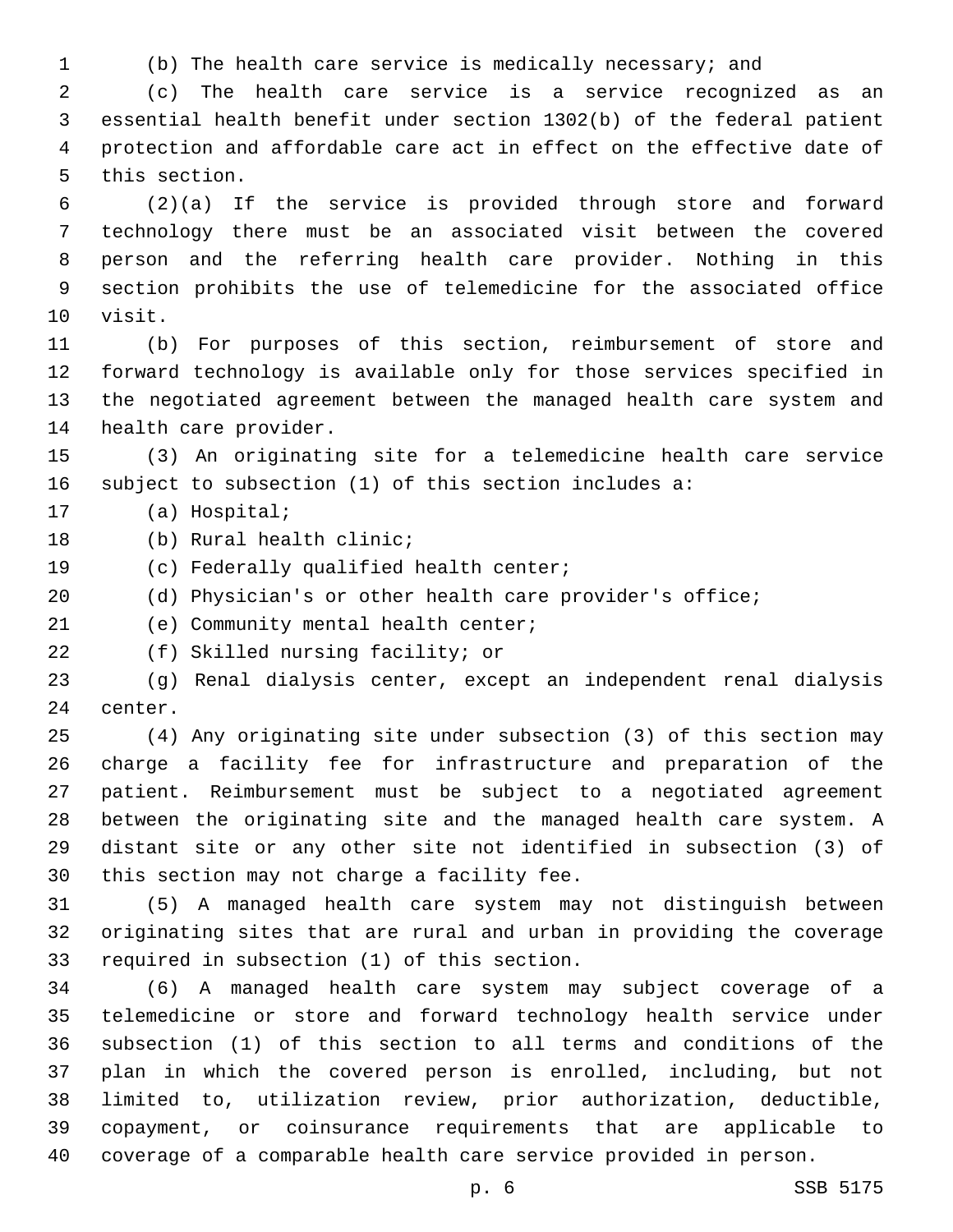(b) The health care service is medically necessary; and

 (c) The health care service is a service recognized as an essential health benefit under section 1302(b) of the federal patient protection and affordable care act in effect on the effective date of 5 this section.

 (2)(a) If the service is provided through store and forward technology there must be an associated visit between the covered person and the referring health care provider. Nothing in this section prohibits the use of telemedicine for the associated office 10 visit.

 (b) For purposes of this section, reimbursement of store and forward technology is available only for those services specified in the negotiated agreement between the managed health care system and 14 health care provider.

 (3) An originating site for a telemedicine health care service subject to subsection (1) of this section includes a:

17 (a) Hospital;

18 (b) Rural health clinic;

19 (c) Federally qualified health center;

(d) Physician's or other health care provider's office;

21 (e) Community mental health center;

22 (f) Skilled nursing facility; or

 (g) Renal dialysis center, except an independent renal dialysis 24 center.

 (4) Any originating site under subsection (3) of this section may charge a facility fee for infrastructure and preparation of the patient. Reimbursement must be subject to a negotiated agreement between the originating site and the managed health care system. A distant site or any other site not identified in subsection (3) of 30 this section may not charge a facility fee.

 (5) A managed health care system may not distinguish between originating sites that are rural and urban in providing the coverage 33 required in subsection (1) of this section.

 (6) A managed health care system may subject coverage of a telemedicine or store and forward technology health service under subsection (1) of this section to all terms and conditions of the plan in which the covered person is enrolled, including, but not limited to, utilization review, prior authorization, deductible, copayment, or coinsurance requirements that are applicable to coverage of a comparable health care service provided in person.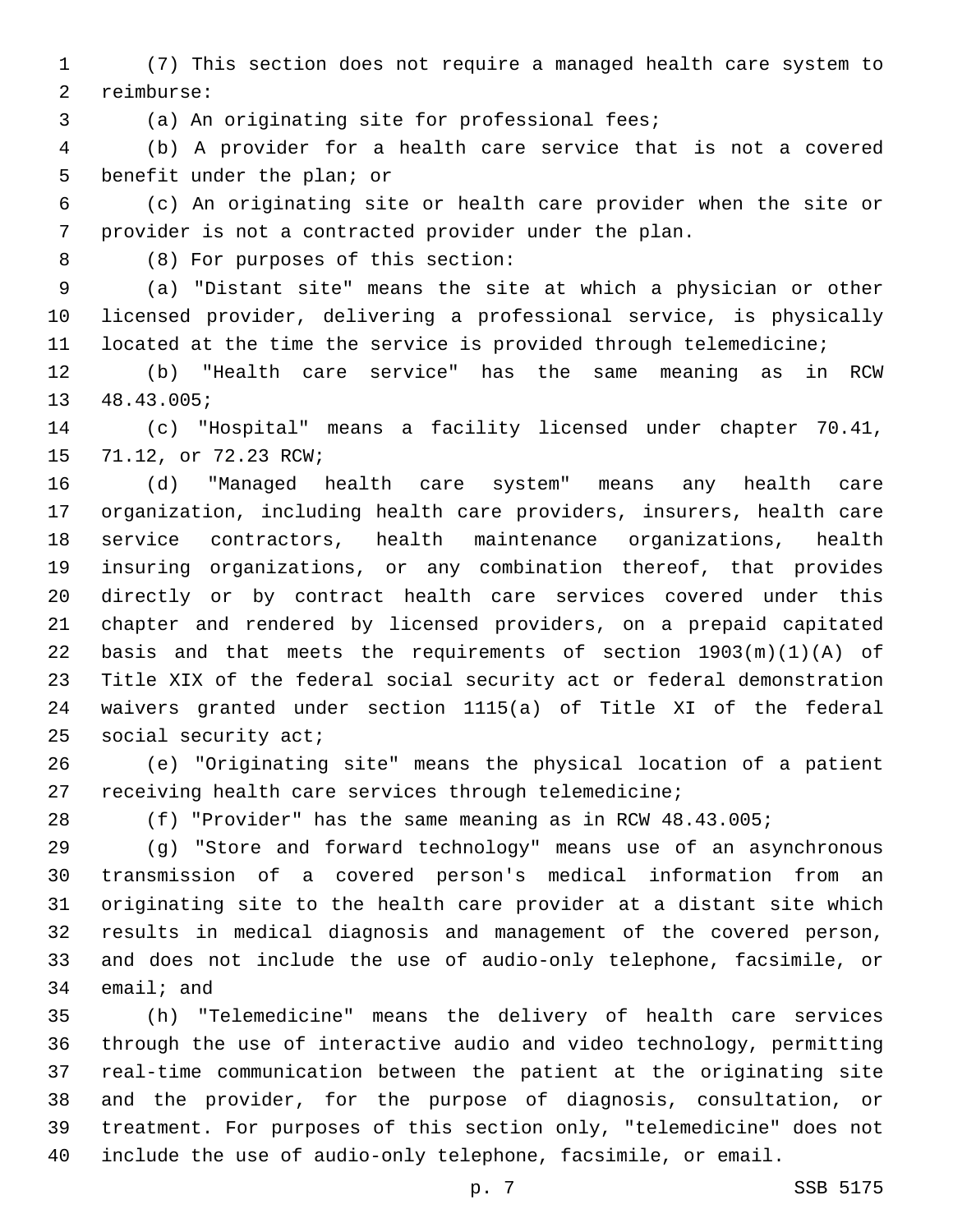(7) This section does not require a managed health care system to 2 reimburse:

3 (a) An originating site for professional fees;

 (b) A provider for a health care service that is not a covered 5 benefit under the plan; or

 (c) An originating site or health care provider when the site or provider is not a contracted provider under the plan.

(8) For purposes of this section:8

 (a) "Distant site" means the site at which a physician or other licensed provider, delivering a professional service, is physically located at the time the service is provided through telemedicine;

 (b) "Health care service" has the same meaning as in RCW 13 48.43.005;

 (c) "Hospital" means a facility licensed under chapter 70.41, 15 71.12, or 72.23 RCW;

 (d) "Managed health care system" means any health care organization, including health care providers, insurers, health care service contractors, health maintenance organizations, health insuring organizations, or any combination thereof, that provides directly or by contract health care services covered under this chapter and rendered by licensed providers, on a prepaid capitated 22 basis and that meets the requirements of section  $1903(m)(1)(A)$  of Title XIX of the federal social security act or federal demonstration waivers granted under section 1115(a) of Title XI of the federal 25 social security act;

 (e) "Originating site" means the physical location of a patient receiving health care services through telemedicine;

(f) "Provider" has the same meaning as in RCW 48.43.005;

 (g) "Store and forward technology" means use of an asynchronous transmission of a covered person's medical information from an originating site to the health care provider at a distant site which results in medical diagnosis and management of the covered person, and does not include the use of audio-only telephone, facsimile, or email; and

 (h) "Telemedicine" means the delivery of health care services through the use of interactive audio and video technology, permitting real-time communication between the patient at the originating site and the provider, for the purpose of diagnosis, consultation, or treatment. For purposes of this section only, "telemedicine" does not include the use of audio-only telephone, facsimile, or email.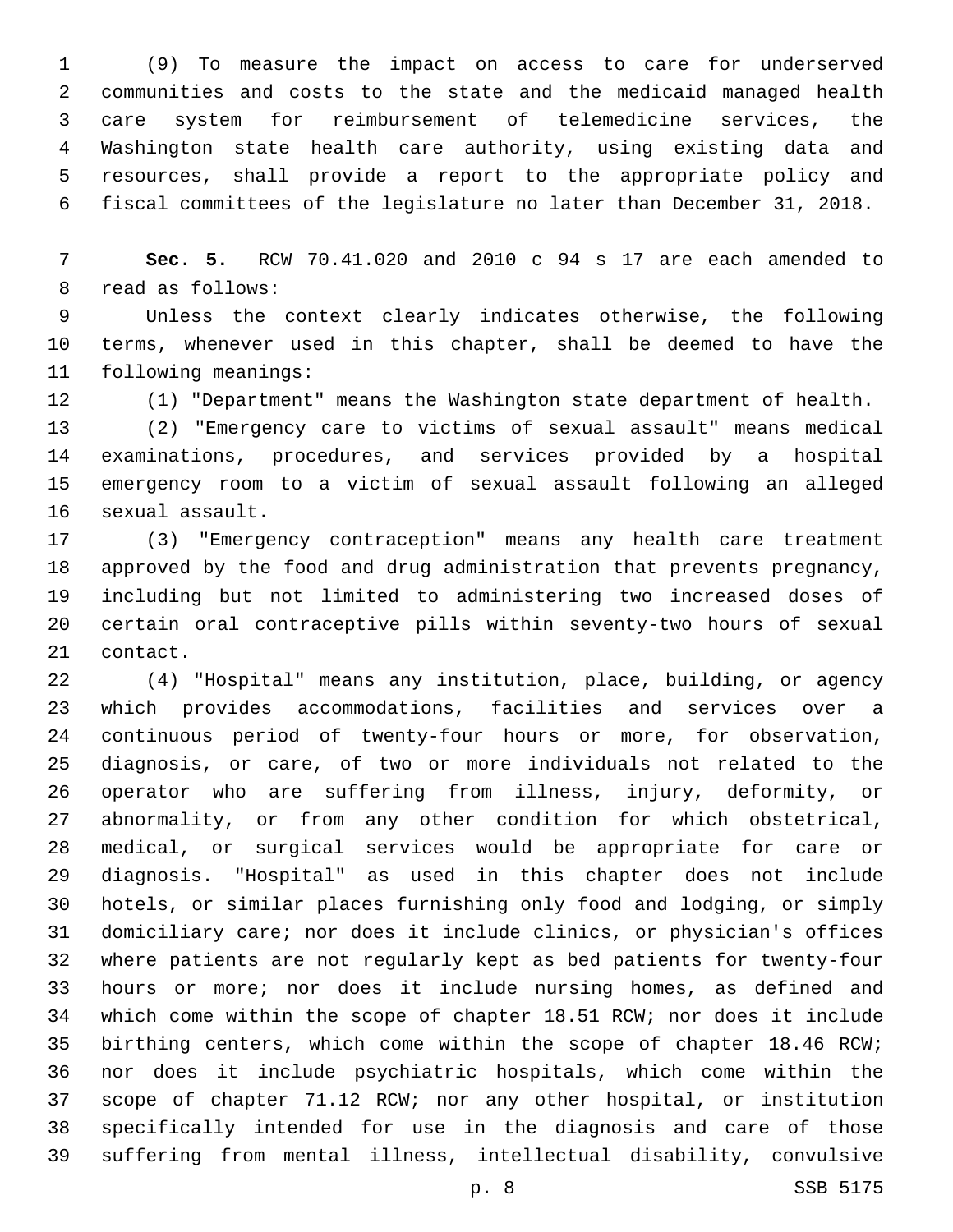(9) To measure the impact on access to care for underserved communities and costs to the state and the medicaid managed health care system for reimbursement of telemedicine services, the Washington state health care authority, using existing data and resources, shall provide a report to the appropriate policy and fiscal committees of the legislature no later than December 31, 2018.

 **Sec. 5.** RCW 70.41.020 and 2010 c 94 s 17 are each amended to 8 read as follows:

 Unless the context clearly indicates otherwise, the following terms, whenever used in this chapter, shall be deemed to have the 11 following meanings:

(1) "Department" means the Washington state department of health.

 (2) "Emergency care to victims of sexual assault" means medical examinations, procedures, and services provided by a hospital emergency room to a victim of sexual assault following an alleged 16 sexual assault.

 (3) "Emergency contraception" means any health care treatment approved by the food and drug administration that prevents pregnancy, including but not limited to administering two increased doses of certain oral contraceptive pills within seventy-two hours of sexual 21 contact.

 (4) "Hospital" means any institution, place, building, or agency which provides accommodations, facilities and services over a continuous period of twenty-four hours or more, for observation, diagnosis, or care, of two or more individuals not related to the operator who are suffering from illness, injury, deformity, or abnormality, or from any other condition for which obstetrical, medical, or surgical services would be appropriate for care or diagnosis. "Hospital" as used in this chapter does not include hotels, or similar places furnishing only food and lodging, or simply domiciliary care; nor does it include clinics, or physician's offices where patients are not regularly kept as bed patients for twenty-four hours or more; nor does it include nursing homes, as defined and which come within the scope of chapter 18.51 RCW; nor does it include birthing centers, which come within the scope of chapter 18.46 RCW; nor does it include psychiatric hospitals, which come within the scope of chapter 71.12 RCW; nor any other hospital, or institution specifically intended for use in the diagnosis and care of those suffering from mental illness, intellectual disability, convulsive

p. 8 SSB 5175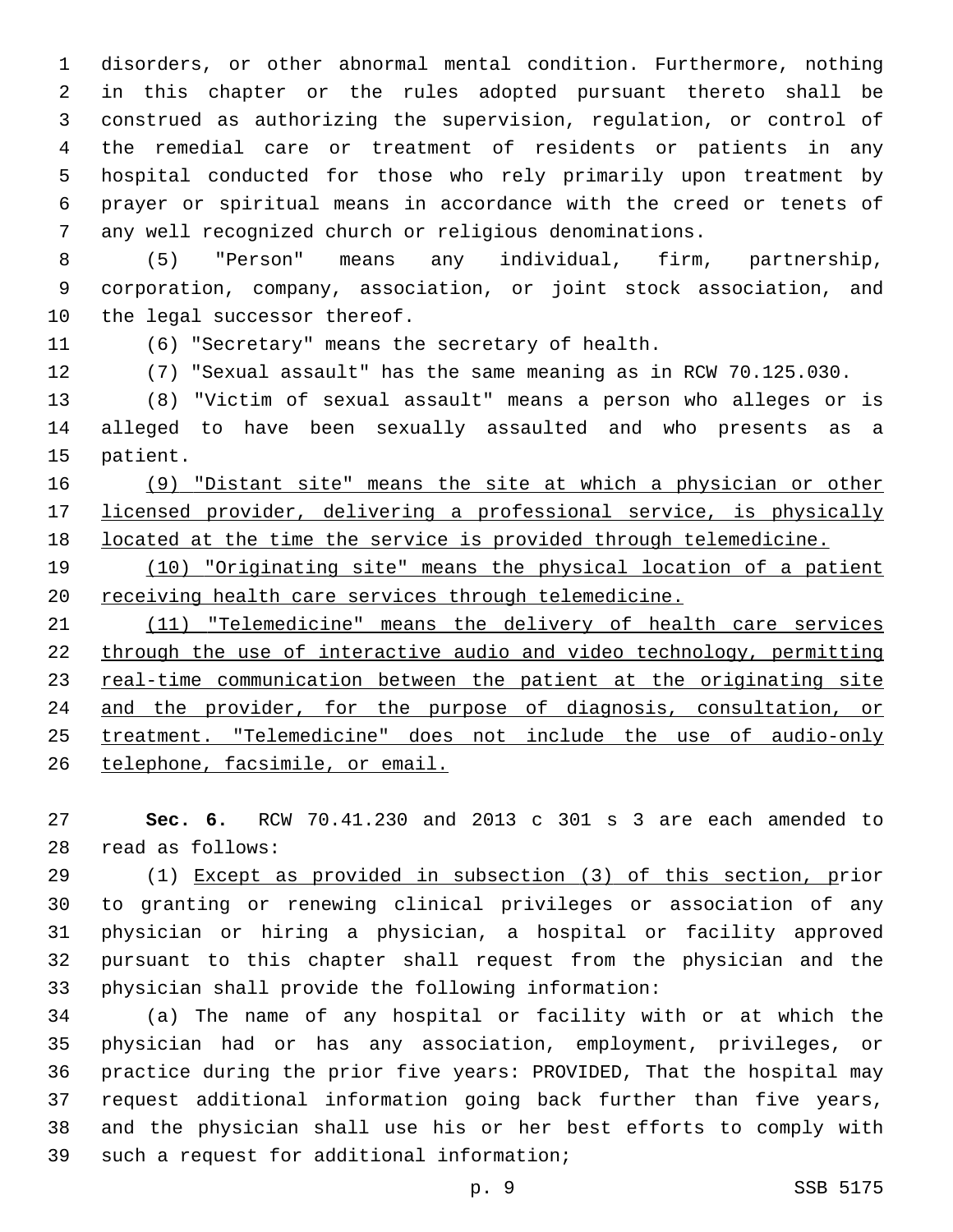disorders, or other abnormal mental condition. Furthermore, nothing in this chapter or the rules adopted pursuant thereto shall be construed as authorizing the supervision, regulation, or control of the remedial care or treatment of residents or patients in any hospital conducted for those who rely primarily upon treatment by prayer or spiritual means in accordance with the creed or tenets of any well recognized church or religious denominations.

 (5) "Person" means any individual, firm, partnership, corporation, company, association, or joint stock association, and 10 the legal successor thereof.

(6) "Secretary" means the secretary of health.

(7) "Sexual assault" has the same meaning as in RCW 70.125.030.

 (8) "Victim of sexual assault" means a person who alleges or is alleged to have been sexually assaulted and who presents as a 15 patient.

 (9) "Distant site" means the site at which a physician or other licensed provider, delivering a professional service, is physically located at the time the service is provided through telemedicine.

 (10) "Originating site" means the physical location of a patient receiving health care services through telemedicine.

21 (11) "Telemedicine" means the delivery of health care services through the use of interactive audio and video technology, permitting real-time communication between the patient at the originating site and the provider, for the purpose of diagnosis, consultation, or treatment. "Telemedicine" does not include the use of audio-only telephone, facsimile, or email.

 **Sec. 6.** RCW 70.41.230 and 2013 c 301 s 3 are each amended to 28 read as follows:

 (1) Except as provided in subsection (3) of this section, prior to granting or renewing clinical privileges or association of any physician or hiring a physician, a hospital or facility approved pursuant to this chapter shall request from the physician and the physician shall provide the following information:

 (a) The name of any hospital or facility with or at which the physician had or has any association, employment, privileges, or practice during the prior five years: PROVIDED, That the hospital may request additional information going back further than five years, and the physician shall use his or her best efforts to comply with 39 such a request for additional information;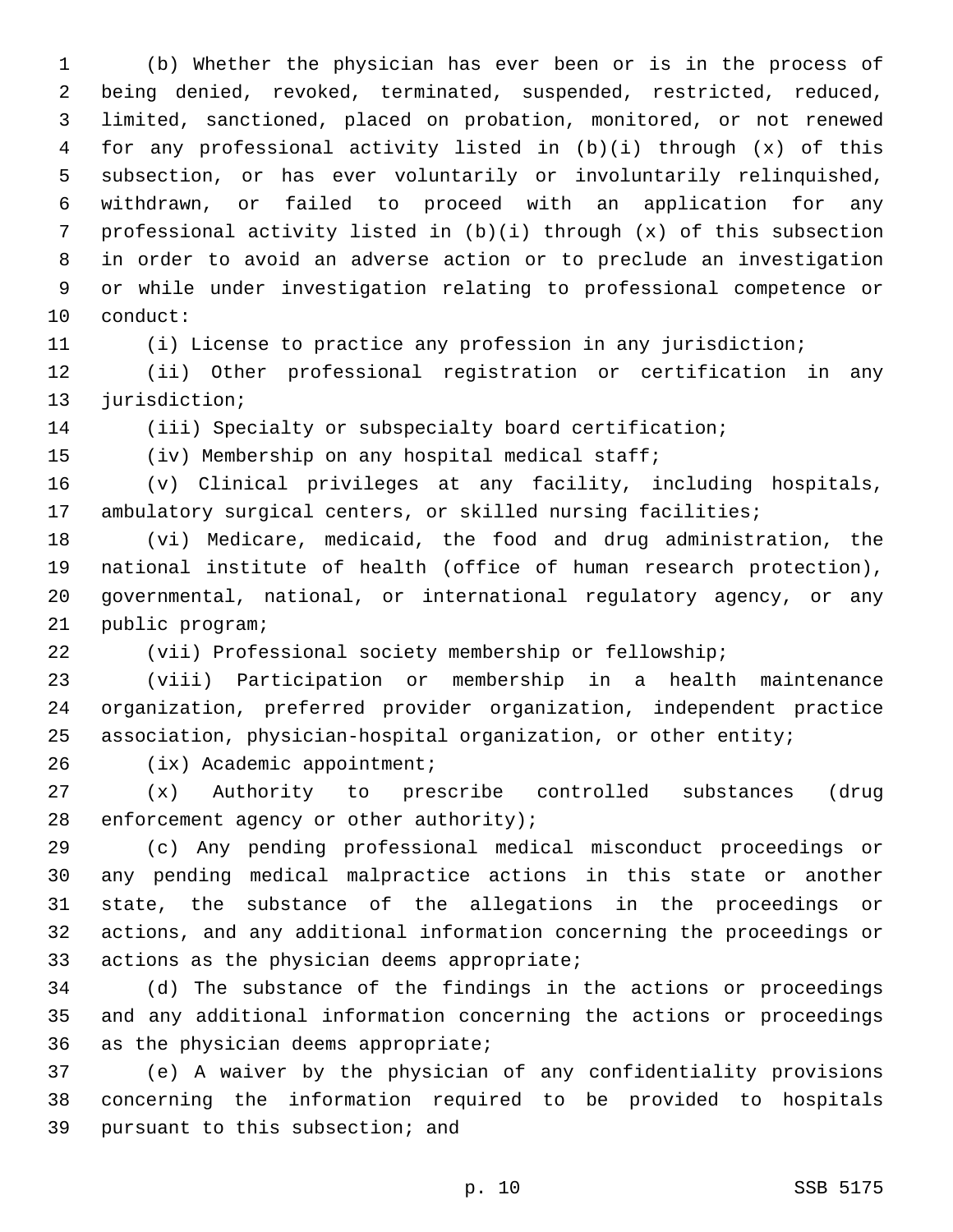(b) Whether the physician has ever been or is in the process of being denied, revoked, terminated, suspended, restricted, reduced, limited, sanctioned, placed on probation, monitored, or not renewed for any professional activity listed in (b)(i) through (x) of this subsection, or has ever voluntarily or involuntarily relinquished, withdrawn, or failed to proceed with an application for any professional activity listed in (b)(i) through (x) of this subsection in order to avoid an adverse action or to preclude an investigation or while under investigation relating to professional competence or 10 conduct:

(i) License to practice any profession in any jurisdiction;

 (ii) Other professional registration or certification in any 13 jurisdiction;

14 (iii) Specialty or subspecialty board certification;

(iv) Membership on any hospital medical staff;

 (v) Clinical privileges at any facility, including hospitals, ambulatory surgical centers, or skilled nursing facilities;

 (vi) Medicare, medicaid, the food and drug administration, the national institute of health (office of human research protection), governmental, national, or international regulatory agency, or any 21 public program;

(vii) Professional society membership or fellowship;

 (viii) Participation or membership in a health maintenance organization, preferred provider organization, independent practice association, physician-hospital organization, or other entity;

26 (ix) Academic appointment;

 (x) Authority to prescribe controlled substances (drug 28 enforcement agency or other authority);

 (c) Any pending professional medical misconduct proceedings or any pending medical malpractice actions in this state or another state, the substance of the allegations in the proceedings or actions, and any additional information concerning the proceedings or 33 actions as the physician deems appropriate;

 (d) The substance of the findings in the actions or proceedings and any additional information concerning the actions or proceedings 36 as the physician deems appropriate;

 (e) A waiver by the physician of any confidentiality provisions concerning the information required to be provided to hospitals 39 pursuant to this subsection; and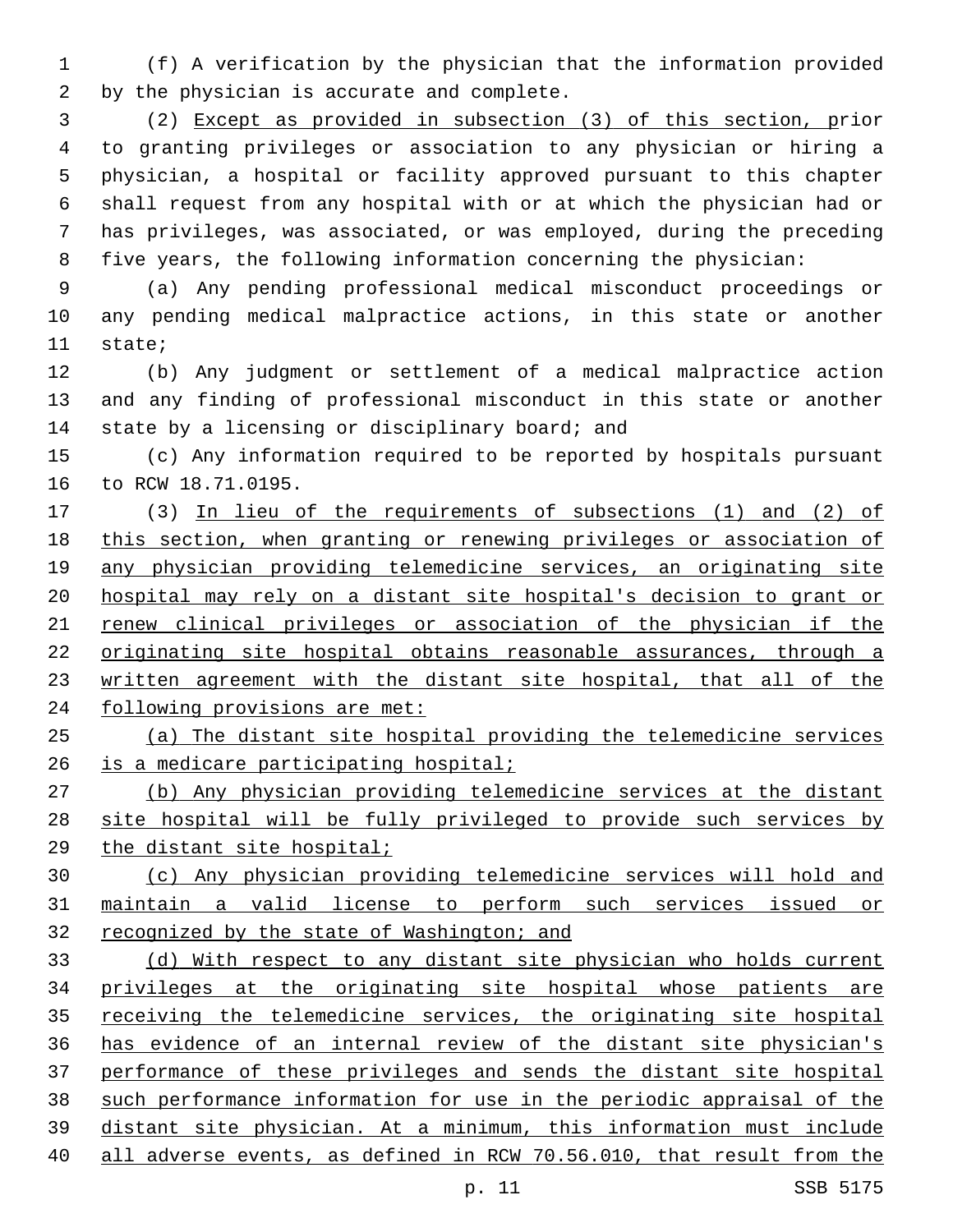(f) A verification by the physician that the information provided 2 by the physician is accurate and complete.

 (2) Except as provided in subsection (3) of this section, prior to granting privileges or association to any physician or hiring a physician, a hospital or facility approved pursuant to this chapter shall request from any hospital with or at which the physician had or has privileges, was associated, or was employed, during the preceding five years, the following information concerning the physician:

 (a) Any pending professional medical misconduct proceedings or any pending medical malpractice actions, in this state or another 11 state;

 (b) Any judgment or settlement of a medical malpractice action and any finding of professional misconduct in this state or another 14 state by a licensing or disciplinary board; and

 (c) Any information required to be reported by hospitals pursuant 16 to RCW 18.71.0195.

 (3) In lieu of the requirements of subsections (1) and (2) of this section, when granting or renewing privileges or association of any physician providing telemedicine services, an originating site hospital may rely on a distant site hospital's decision to grant or renew clinical privileges or association of the physician if the originating site hospital obtains reasonable assurances, through a 23 written agreement with the distant site hospital, that all of the 24 following provisions are met:

 (a) The distant site hospital providing the telemedicine services is a medicare participating hospital;

 (b) Any physician providing telemedicine services at the distant site hospital will be fully privileged to provide such services by the distant site hospital;

 (c) Any physician providing telemedicine services will hold and maintain a valid license to perform such services issued or 32 recognized by the state of Washington; and

 (d) With respect to any distant site physician who holds current privileges at the originating site hospital whose patients are receiving the telemedicine services, the originating site hospital has evidence of an internal review of the distant site physician's performance of these privileges and sends the distant site hospital such performance information for use in the periodic appraisal of the distant site physician. At a minimum, this information must include all adverse events, as defined in RCW 70.56.010, that result from the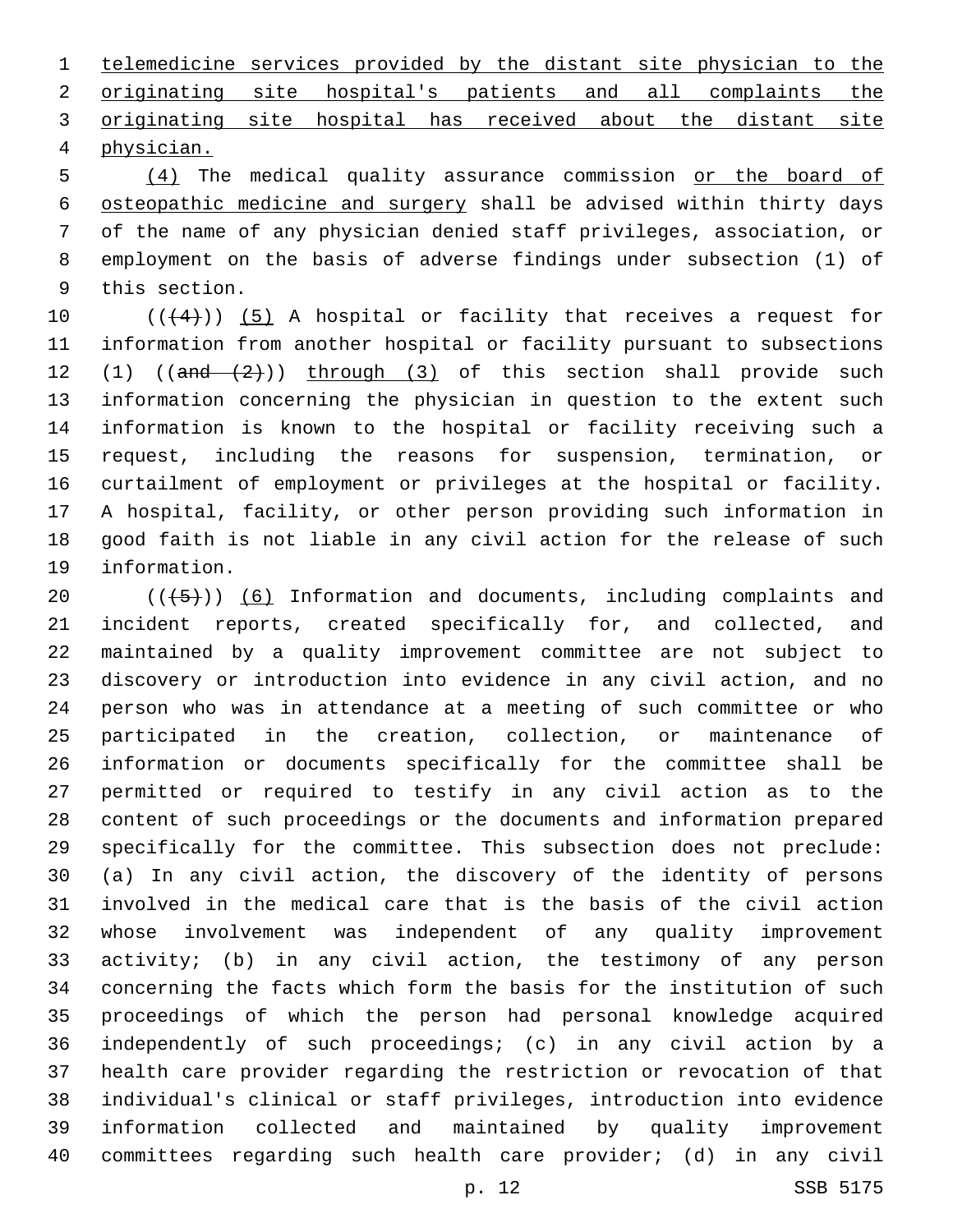telemedicine services provided by the distant site physician to the originating site hospital's patients and all complaints the originating site hospital has received about the distant site physician.4

 (4) The medical quality assurance commission or the board of osteopathic medicine and surgery shall be advised within thirty days of the name of any physician denied staff privileges, association, or employment on the basis of adverse findings under subsection (1) of 9 this section.

 $((+4))$  (5) A hospital or facility that receives a request for information from another hospital or facility pursuant to subsections 12 (1)  $((and -\frac{2}{1})$  through (3) of this section shall provide such information concerning the physician in question to the extent such information is known to the hospital or facility receiving such a request, including the reasons for suspension, termination, or curtailment of employment or privileges at the hospital or facility. A hospital, facility, or other person providing such information in good faith is not liable in any civil action for the release of such 19 information.

 $((+5+))$  (6) Information and documents, including complaints and incident reports, created specifically for, and collected, and maintained by a quality improvement committee are not subject to discovery or introduction into evidence in any civil action, and no person who was in attendance at a meeting of such committee or who participated in the creation, collection, or maintenance of information or documents specifically for the committee shall be permitted or required to testify in any civil action as to the content of such proceedings or the documents and information prepared specifically for the committee. This subsection does not preclude: (a) In any civil action, the discovery of the identity of persons involved in the medical care that is the basis of the civil action whose involvement was independent of any quality improvement activity; (b) in any civil action, the testimony of any person concerning the facts which form the basis for the institution of such proceedings of which the person had personal knowledge acquired independently of such proceedings; (c) in any civil action by a health care provider regarding the restriction or revocation of that individual's clinical or staff privileges, introduction into evidence information collected and maintained by quality improvement committees regarding such health care provider; (d) in any civil